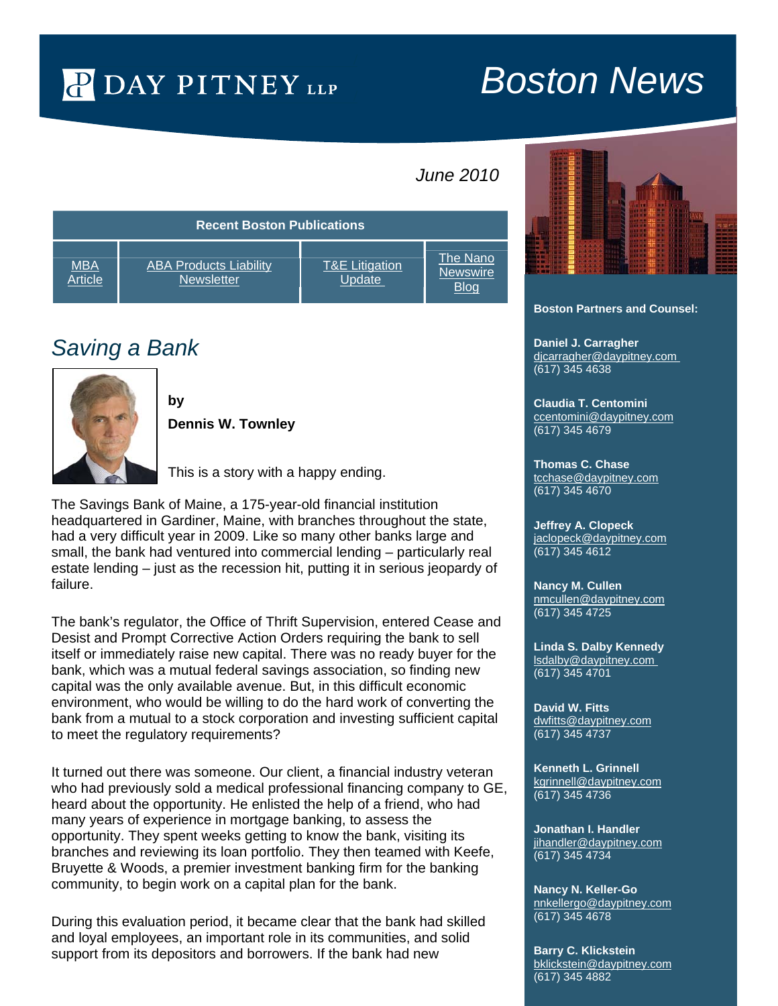### *June 2010*

| <b>Recent Boston Publications</b> |                                                    |                                     |                                            |
|-----------------------------------|----------------------------------------------------|-------------------------------------|--------------------------------------------|
| <b>MBA</b><br><b>Article</b>      | <b>ABA Products Liability</b><br><b>Newsletter</b> | <b>T&amp;E Litigation</b><br>Update | The Nano<br><b>Newswire</b><br><b>Blog</b> |

## *Saving a Bank*



**by Dennis W. Townley** 

This is a story with a happy ending.

The Savings Bank of Maine, a 175-year-old financial institution headquartered in Gardiner, Maine, with branches throughout the state, had a very difficult year in 2009. Like so many other banks large and small, the bank had ventured into commercial lending – particularly real estate lending – just as the recession hit, putting it in serious jeopardy of failure.

The bank's regulator, the Office of Thrift Supervision, entered Cease and Desist and Prompt Corrective Action Orders requiring the bank to sell itself or immediately raise new capital. There was no ready buyer for the bank, which was a mutual federal savings association, so finding new capital was the only available avenue. But, in this difficult economic environment, who would be willing to do the hard work of converting the bank from a mutual to a stock corporation and investing sufficient capital to meet the regulatory requirements?

It turned out there was someone. Our client, a financial industry veteran who had previously sold a medical professional financing company to GE, heard about the opportunity. He enlisted the help of a friend, who had many years of experience in mortgage banking, to assess the opportunity. They spent weeks getting to know the bank, visiting its branches and reviewing its loan portfolio. They then teamed with Keefe, Bruyette & Woods, a premier investment banking firm for the banking community, to begin work on a capital plan for the bank.

During this evaluation period, it became clear that the bank had skilled and loyal employees, an important role in its communities, and solid support from its depositors and borrowers. If the bank had new



#### **Boston Partners and Counsel:**

**Daniel J. Carragher**  [djcarragher@daypitney.com](mailto:djcarragher@daypitney.com)  (617) 345 4638

**Claudia T. Centomini** [ccentomini@daypitney.com](mailto:ccentomini@daypitney.com) (617) 345 4679

**Thomas C. Chase** [tcchase@daypitney.com](mailto:tcchase@daypitney.com) (617) 345 4670

**Jeffrey A. Clopeck** [jaclopeck@daypitney.com](mailto:jaclopeck@daypitney.com) (617) 345 4612

**Nancy M. Cullen** [nmcullen@daypitney.com](mailto:nmcullen@daypitney.com) (617) 345 4725

**Linda S. Dalby Kennedy** [lsdalby@daypitney.com](mailto:lsdalby@daypitney.com) (617) 345 4701

**David W. Fitts** [dwfitts@daypitney.com](mailto:dwfitts@daypitney.com) (617) 345 4737

**Kenneth L. Grinnell** [kgrinnell@daypitney.com](mailto:kgrinnell@daypitney.com)  (617) 345 4736

**Jonathan I. Handler** [jihandler@daypitney.com](mailto:jihandler@daypitney.com) (617) 345 4734

**Nancy N. Keller-Go** [nnkellergo@daypitney.com](mailto:nnkellergo@daypitney.com) (617) 345 4678

**Barry C. Klickstein** [bklickstein@daypitney.com](mailto:bklickstein@daypitney.com) (617) 345 4882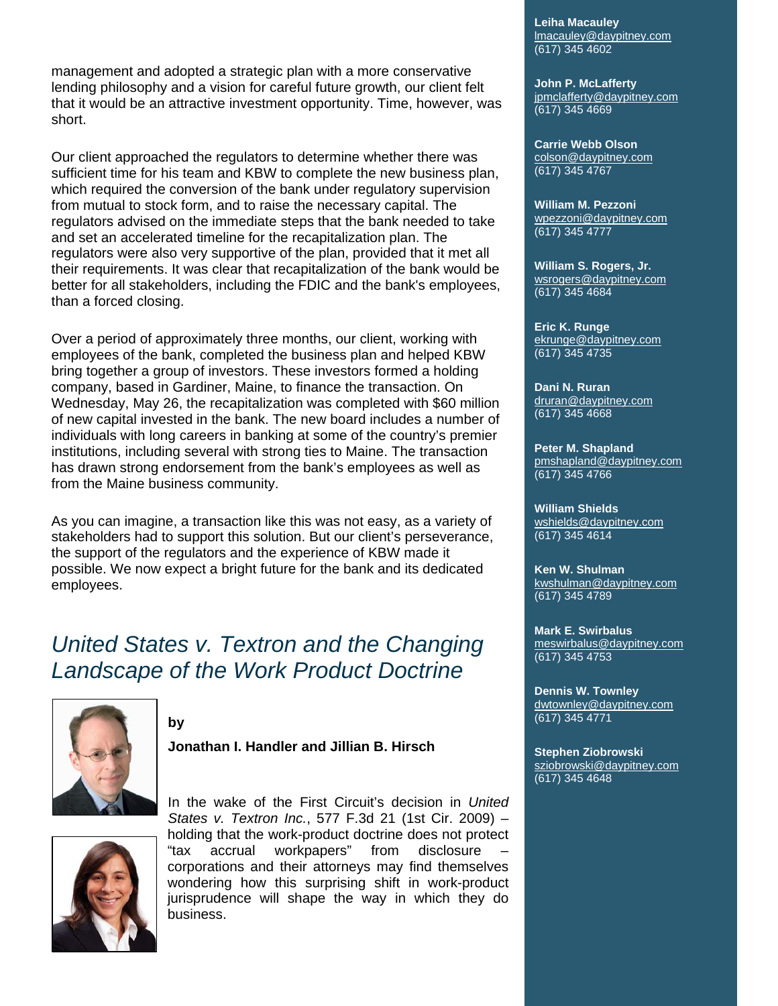management and adopted a strategic plan with a more conservative lending philosophy and a vision for careful future growth, our client felt that it would be an attractive investment opportunity. Time, however, was short.

Our client approached the regulators to determine whether there was sufficient time for his team and KBW to complete the new business plan, which required the conversion of the bank under regulatory supervision from mutual to stock form, and to raise the necessary capital. The regulators advised on the immediate steps that the bank needed to take and set an accelerated timeline for the recapitalization plan. The regulators were also very supportive of the plan, provided that it met all their requirements. It was clear that recapitalization of the bank would be better for all stakeholders, including the FDIC and the bank's employees, than a forced closing.

Over a period of approximately three months, our client, working with employees of the bank, completed the business plan and helped KBW bring together a group of investors. These investors formed a holding company, based in Gardiner, Maine, to finance the transaction. On Wednesday, May 26, the recapitalization was completed with \$60 million of new capital invested in the bank. The new board includes a number of individuals with long careers in banking at some of the country's premier institutions, including several with strong ties to Maine. The transaction has drawn strong endorsement from the bank's employees as well as from the Maine business community.

As you can imagine, a transaction like this was not easy, as a variety of stakeholders had to support this solution. But our client's perseverance, the support of the regulators and the experience of KBW made it possible. We now expect a bright future for the bank and its dedicated employees.

### *United States v. Textron and the Changing Landscape of the Work Product Doctrine*



**by** 

**Jonathan I. Handler and Jillian B. Hirsch** 

In the wake of the First Circuit's decision in *United States v. Textron Inc.*, 577 F.3d 21 (1st Cir. 2009) – holding that the work-product doctrine does not protect "tax accrual workpapers" from disclosure – corporations and their attorneys may find themselves wondering how this surprising shift in work-product jurisprudence will shape the way in which they do business.

**Leiha Macauley** [lmacauley@daypitney.com](mailto:lmacauley@daypitney.com) (617) 345 4602

**John P. McLafferty** [jpmclafferty@daypitney.com](mailto:jpmclafferty@daypitney.com)  (617) 345 4669

**Carrie Webb Olson** [colson@daypitney.com](mailto:colson@daypitney.com) (617) 345 4767

**William M. Pezzoni** [wpezzoni@daypitney.com](mailto:wpezzoni@daypitney.com) (617) 345 4777

**William S. Rogers, Jr.** [wsrogers@daypitney.com](mailto:wsrogers@daypitney.com) (617) 345 4684

**Eric K. Runge** [ekrunge@daypitney.com](mailto:ekrunge@daypitney.com) (617) 345 4735

**Dani N. Ruran** [druran@daypitney.com](mailto:druran@daypitney.com) (617) 345 4668

**Peter M. Shapland** [pmshapland@daypitney.com](mailto:pmshapland@daypitney.com) (617) 345 4766

**William Shields** [wshields@daypitney.com](mailto:wshields@daypitney.com) (617) 345 4614

**Ken W. Shulman** [kwshulman@daypitney.com](mailto:kwshulman@daypitney.com) (617) 345 4789

**Mark E. Swirbalus** [meswirbalus@daypitney.com](mailto:meswirbalus@daypitney.com) (617) 345 4753

**Dennis W. Townley** [dwtownley@daypitney.com](mailto:dwtownley@daypitney.com) (617) 345 4771

**Stephen Ziobrowski** [sziobrowski@daypitney.com](mailto:sziobrowski@daypitney.com) (617) 345 4648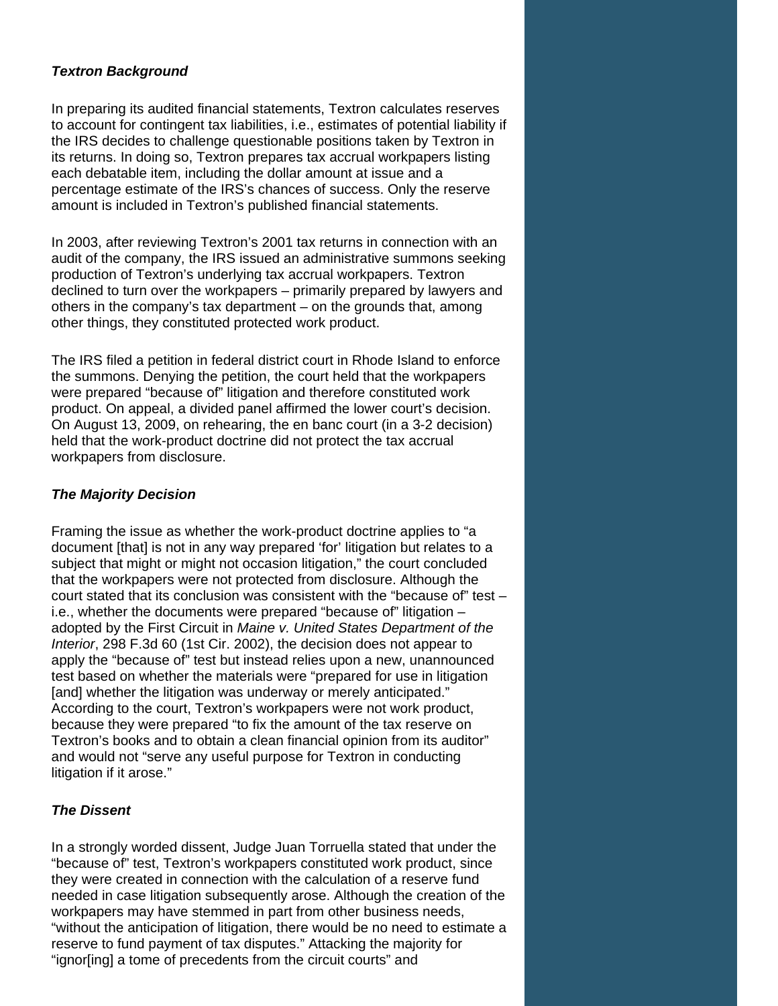#### *Textron Background*

In preparing its audited financial statements, Textron calculates reserves to account for contingent tax liabilities, i.e., estimates of potential liability if the IRS decides to challenge questionable positions taken by Textron in its returns. In doing so, Textron prepares tax accrual workpapers listing each debatable item, including the dollar amount at issue and a percentage estimate of the IRS's chances of success. Only the reserve amount is included in Textron's published financial statements.

In 2003, after reviewing Textron's 2001 tax returns in connection with an audit of the company, the IRS issued an administrative summons seeking production of Textron's underlying tax accrual workpapers. Textron declined to turn over the workpapers – primarily prepared by lawyers and others in the company's tax department – on the grounds that, among other things, they constituted protected work product.

The IRS filed a petition in federal district court in Rhode Island to enforce the summons. Denying the petition, the court held that the workpapers were prepared "because of" litigation and therefore constituted work product. On appeal, a divided panel affirmed the lower court's decision. On August 13, 2009, on rehearing, the en banc court (in a 3-2 decision) held that the work-product doctrine did not protect the tax accrual workpapers from disclosure.

#### *The Majority Decision*

Framing the issue as whether the work-product doctrine applies to "a document [that] is not in any way prepared 'for' litigation but relates to a subject that might or might not occasion litigation," the court concluded that the workpapers were not protected from disclosure. Although the court stated that its conclusion was consistent with the "because of" test – i.e., whether the documents were prepared "because of" litigation – adopted by the First Circuit in *Maine v. United States Department of the Interior*, 298 F.3d 60 (1st Cir. 2002), the decision does not appear to apply the "because of" test but instead relies upon a new, unannounced test based on whether the materials were "prepared for use in litigation [and] whether the litigation was underway or merely anticipated." According to the court, Textron's workpapers were not work product, because they were prepared "to fix the amount of the tax reserve on Textron's books and to obtain a clean financial opinion from its auditor" and would not "serve any useful purpose for Textron in conducting litigation if it arose."

#### *The Dissent*

In a strongly worded dissent, Judge Juan Torruella stated that under the "because of" test, Textron's workpapers constituted work product, since they were created in connection with the calculation of a reserve fund needed in case litigation subsequently arose. Although the creation of the workpapers may have stemmed in part from other business needs, "without the anticipation of litigation, there would be no need to estimate a reserve to fund payment of tax disputes." Attacking the majority for "ignor[ing] a tome of precedents from the circuit courts" and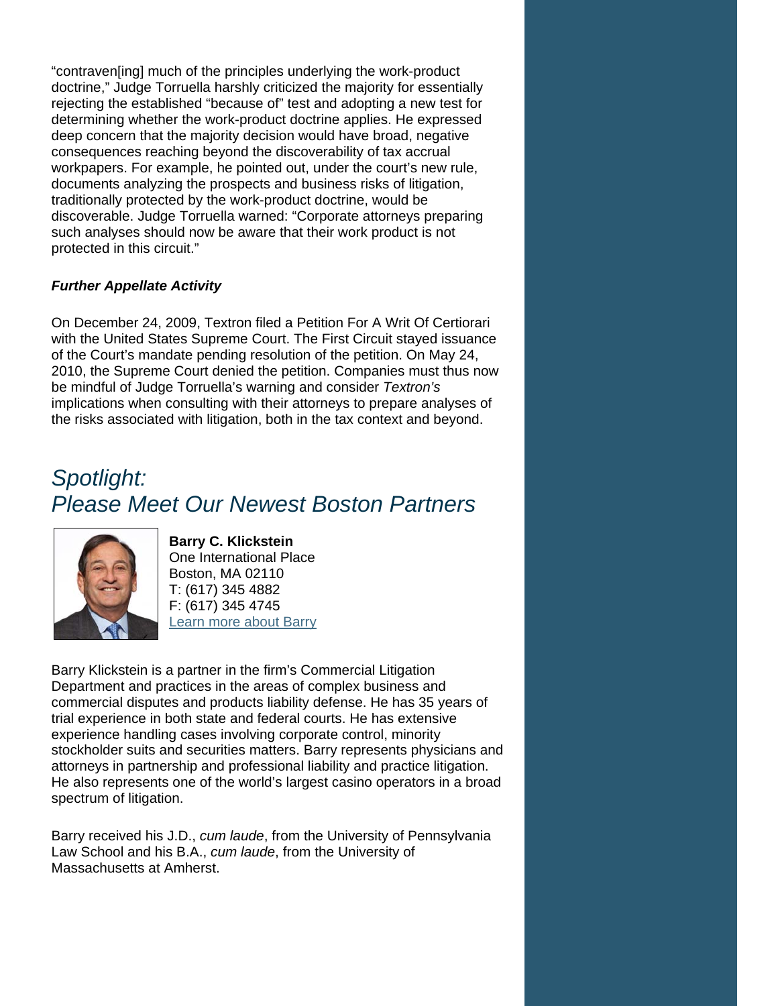"contraven[ing] much of the principles underlying the work-product doctrine," Judge Torruella harshly criticized the majority for essentially rejecting the established "because of" test and adopting a new test for determining whether the work-product doctrine applies. He expressed deep concern that the majority decision would have broad, negative consequences reaching beyond the discoverability of tax accrual workpapers. For example, he pointed out, under the court's new rule, documents analyzing the prospects and business risks of litigation, traditionally protected by the work-product doctrine, would be discoverable. Judge Torruella warned: "Corporate attorneys preparing such analyses should now be aware that their work product is not protected in this circuit."

### *Further Appellate Activity*

On December 24, 2009, Textron filed a Petition For A Writ Of Certiorari with the United States Supreme Court. The First Circuit stayed issuance of the Court's mandate pending resolution of the petition. On May 24, 2010, the Supreme Court denied the petition. Companies must thus now be mindful of Judge Torruella's warning and consider *Textron's* implications when consulting with their attorneys to prepare analyses of the risks associated with litigation, both in the tax context and beyond.

# *Spotlight: Please Meet Our Newest Boston Partners*



**Barry C. Klickstein**  One International Place Boston, MA 02110 T: (617) 345 4882 F: (617) 345 4745 [Learn more about Barry](http://www.daypitney.com/people/people-detail.aspx?practice=&proID=556)

Barry Klickstein is a partner in the firm's Commercial Litigation Department and practices in the areas of complex business and commercial disputes and products liability defense. He has 35 years of trial experience in both state and federal courts. He has extensive experience handling cases involving corporate control, minority stockholder suits and securities matters. Barry represents physicians and attorneys in partnership and professional liability and practice litigation. He also represents one of the world's largest casino operators in a broad spectrum of litigation.

Barry received his J.D., *cum laude*, from the University of Pennsylvania Law School and his B.A., *cum laude*, from the University of Massachusetts at Amherst.